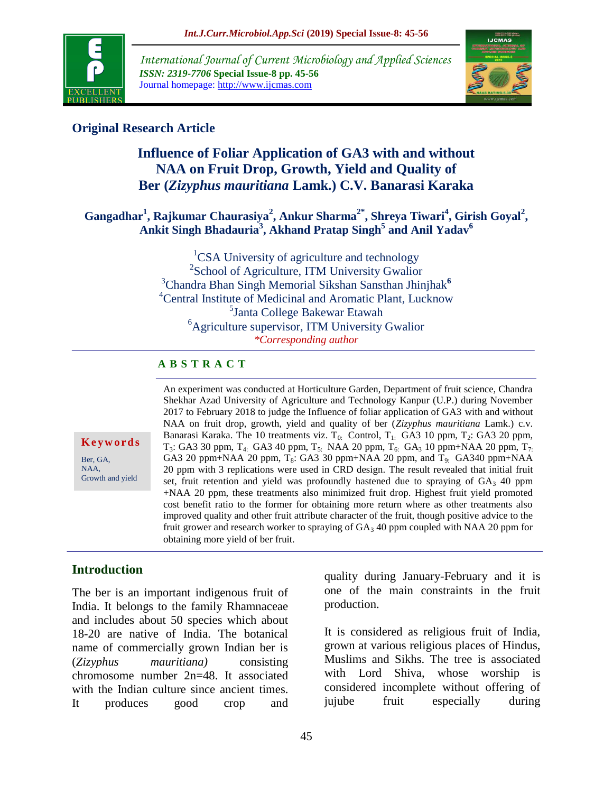

*International Journal of Current Microbiology and Applied Sciences ISSN: 2319-7706* **Special Issue-8 pp. 45-56** Journal homepage: http://www.ijcmas.com



# **Original Research Article**

# **Influence of Foliar Application of GA3 with and without NAA on Fruit Drop, Growth, Yield and Quality of Ber (***Zizyphus mauritiana* **Lamk.) C.V. Banarasi Karaka**

# **Gangadhar<sup>1</sup> , Rajkumar Chaurasiya<sup>2</sup> , Ankur Sharma2\* , Shreya Tiwari<sup>4</sup> , Girish Goyal<sup>2</sup> , Ankit Singh Bhadauria<sup>3</sup> , Akhand Pratap Singh<sup>5</sup> and Anil Yadav<sup>6</sup>**

<sup>1</sup>CSA University of agriculture and technology 2 School of Agriculture, ITM University Gwalior <sup>3</sup>Chandra Bhan Singh Memorial Sikshan Sansthan Jhinjhak**<sup>6</sup>** <sup>4</sup>Central Institute of Medicinal and Aromatic Plant, Lucknow 5 Janta College Bakewar Etawah  ${}^{6}$ Agriculture supervisor, ITM University Gwalior *\*Corresponding author*

# **A B S T R A C T**

**K e y w o r d s** Ber, GA, NAA,

Growth and yield

Shekhar Azad University of Agriculture and Technology Kanpur (U.P.) during November 2017 to February 2018 to judge the Influence of foliar application of GA3 with and without NAA on fruit drop, growth, yield and quality of ber (*Zizyphus mauritiana* Lamk.) c.v. Banarasi Karaka. The 10 treatments viz.  $T_{0}$ : Control,  $T_{1}$ : GA3 10 ppm,  $T_2$ : GA3 20 ppm,  $T_3$ : GA3 30 ppm,  $T_4$ : GA3 40 ppm,  $T_5$ : NAA 20 ppm,  $T_6$ : GA<sub>3</sub> 10 ppm+NAA 20 ppm,  $T_7$ . GA3 20 ppm+NAA 20 ppm,  $T_8$ : GA3 30 ppm+NAA 20 ppm, and  $T_9$ : GA340 ppm+NAA 20 ppm with 3 replications were used in CRD design. The result revealed that initial fruit set, fruit retention and yield was profoundly hastened due to spraying of  $GA_3$  40 ppm +NAA 20 ppm, these treatments also minimized fruit drop. Highest fruit yield promoted cost benefit ratio to the former for obtaining more return where as other treatments also improved quality and other fruit attribute character of the fruit, though positive advice to the fruit grower and research worker to spraying of  $GA_3$  40 ppm coupled with NAA 20 ppm for obtaining more yield of ber fruit.

An experiment was conducted at Horticulture Garden, Department of fruit science, Chandra

# **Introduction**

The ber is an important indigenous fruit of India. It belongs to the family Rhamnaceae and includes about 50 species which about 18-20 are native of India. The botanical name of commercially grown Indian ber is (*Zizyphus mauritiana)* consisting chromosome number 2n=48. It associated with the Indian culture since ancient times. It produces good crop and quality during January-February and it is one of the main constraints in the fruit production.

It is considered as religious fruit of India, grown at various religious places of Hindus, Muslims and Sikhs. The tree is associated with Lord Shiva, whose worship is considered incomplete without offering of jujube fruit especially during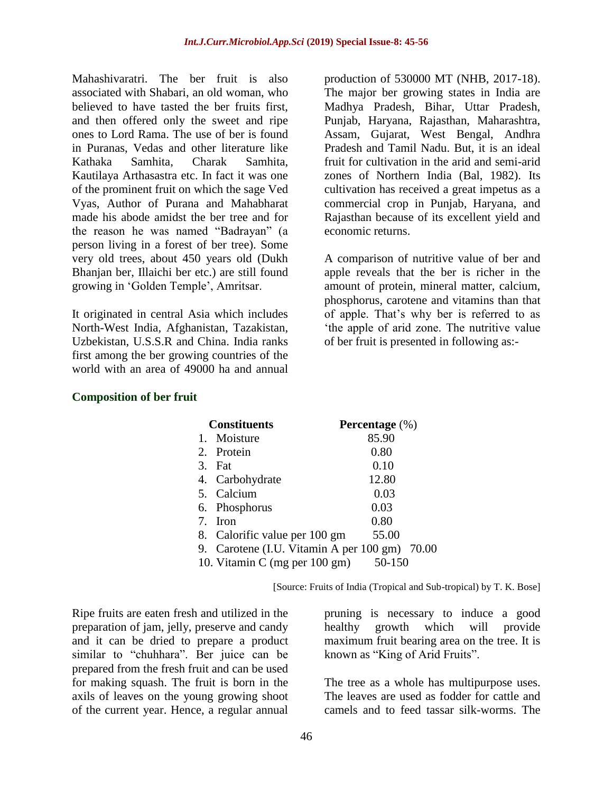Mahashivaratri. The ber fruit is also associated with Shabari, an old woman, who believed to have tasted the ber fruits first, and then offered only the sweet and ripe ones to Lord Rama. The use of ber is found in Puranas, Vedas and other literature like Kathaka Samhita, Charak Samhita, Kautilaya Arthasastra etc. In fact it was one of the prominent fruit on which the sage Ved Vyas, Author of Purana and Mahabharat made his abode amidst the ber tree and for the reason he was named "Badrayan" (a person living in a forest of ber tree). Some very old trees, about 450 years old (Dukh Bhanjan ber, Illaichi ber etc.) are still found growing in "Golden Temple", Amritsar.

It originated in central Asia which includes North-West India, Afghanistan, Tazakistan, Uzbekistan, U.S.S.R and China. India ranks first among the ber growing countries of the world with an area of 49000 ha and annual

production of 530000 MT (NHB, 2017-18). The major ber growing states in India are Madhya Pradesh, Bihar, Uttar Pradesh, Punjab, Haryana, Rajasthan, Maharashtra, Assam, Gujarat, West Bengal, Andhra Pradesh and Tamil Nadu. But, it is an ideal fruit for cultivation in the arid and semi-arid zones of Northern India (Bal, 1982). Its cultivation has received a great impetus as a commercial crop in Punjab, Haryana, and Rajasthan because of its excellent yield and economic returns.

A comparison of nutritive value of ber and apple reveals that the ber is richer in the amount of protein, mineral matter, calcium, phosphorus, carotene and vitamins than that of apple. That"s why ber is referred to as "the apple of arid zone. The nutritive value of ber fruit is presented in following as:-

| <b>Constituents</b>                           | Percentage (%) |
|-----------------------------------------------|----------------|
| 1. Moisture                                   | 85.90          |
| 2. Protein                                    | 0.80           |
| 3.<br>Fat                                     | 0.10           |
| 4. Carbohydrate                               | 12.80          |
| 5. Calcium                                    | 0.03           |
| 6. Phosphorus                                 | 0.03           |
| 7.<br>Iron                                    | 0.80           |
| 8. Calorific value per 100 gm                 | 55.00          |
| 9. Carotene (I.U. Vitamin A per 100 gm) 70.00 |                |
| 10. Vitamin C (mg per 100 gm)                 | 50-150         |

#### **Composition of ber fruit**

[Source: Fruits of India (Tropical and Sub-tropical) by T. K. Bose]

Ripe fruits are eaten fresh and utilized in the preparation of jam, jelly, preserve and candy and it can be dried to prepare a product similar to "chuhhara". Ber juice can be prepared from the fresh fruit and can be used for making squash. The fruit is born in the axils of leaves on the young growing shoot of the current year. Hence, a regular annual

pruning is necessary to induce a good healthy growth which will provide maximum fruit bearing area on the tree. It is known as "King of Arid Fruits".

The tree as a whole has multipurpose uses. The leaves are used as fodder for cattle and camels and to feed tassar silk-worms. The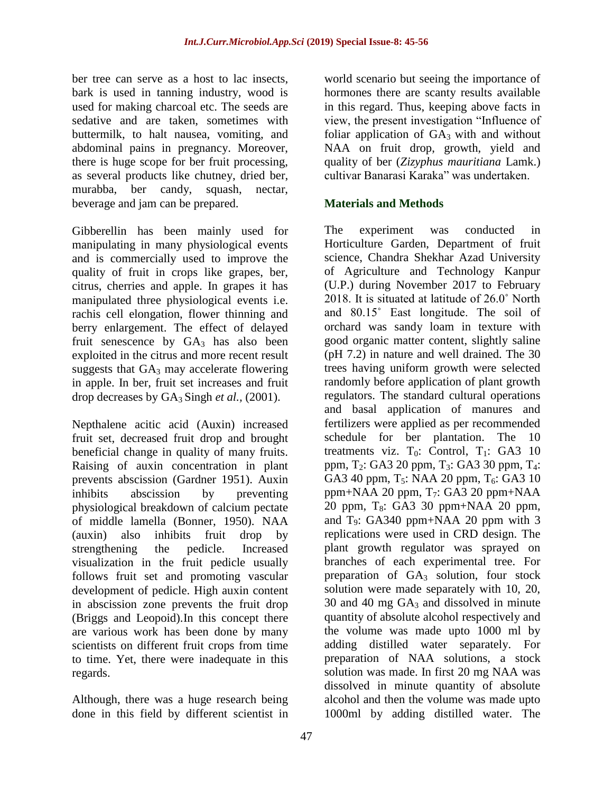ber tree can serve as a host to lac insects, bark is used in tanning industry, wood is used for making charcoal etc. The seeds are sedative and are taken, sometimes with buttermilk, to halt nausea, vomiting, and abdominal pains in pregnancy. Moreover, there is huge scope for ber fruit processing, as several products like chutney, dried ber, murabba, ber candy, squash, nectar, beverage and jam can be prepared.

Gibberellin has been mainly used for manipulating in many physiological events and is commercially used to improve the quality of fruit in crops like grapes, ber, citrus, cherries and apple. In grapes it has manipulated three physiological events i.e. rachis cell elongation, flower thinning and berry enlargement. The effect of delayed fruit senescence by  $GA_3$  has also been exploited in the citrus and more recent result suggests that  $GA_3$  may accelerate flowering in apple. In ber, fruit set increases and fruit drop decreases by GA3 Singh *et al.,* (2001).

Nepthalene acitic acid (Auxin) increased fruit set, decreased fruit drop and brought beneficial change in quality of many fruits. Raising of auxin concentration in plant prevents abscission (Gardner 1951). Auxin inhibits abscission by preventing physiological breakdown of calcium pectate of middle lamella (Bonner, 1950). NAA (auxin) also inhibits fruit drop by strengthening the pedicle. Increased visualization in the fruit pedicle usually follows fruit set and promoting vascular development of pedicle. High auxin content in abscission zone prevents the fruit drop (Briggs and Leopoid).In this concept there are various work has been done by many scientists on different fruit crops from time to time. Yet, there were inadequate in this regards.

Although, there was a huge research being done in this field by different scientist in world scenario but seeing the importance of hormones there are scanty results available in this regard. Thus, keeping above facts in view, the present investigation "Influence of foliar application of  $GA_3$  with and without NAA on fruit drop, growth, yield and quality of ber (*Zizyphus mauritiana* Lamk.) cultivar Banarasi Karaka" was undertaken.

# **Materials and Methods**

The experiment was conducted in Horticulture Garden, Department of fruit science, Chandra Shekhar Azad University of Agriculture and Technology Kanpur (U.P.) during November 2017 to February 2018. It is situated at latitude of 26.0˚ North and 80.15˚ East longitude. The soil of orchard was sandy loam in texture with good organic matter content, slightly saline (pH 7.2) in nature and well drained. The 30 trees having uniform growth were selected randomly before application of plant growth regulators. The standard cultural operations and basal application of manures and fertilizers were applied as per recommended schedule for ber plantation. The 10 treatments viz.  $T_0$ : Control,  $T_1$ : GA3 10 ppm, T<sub>2</sub>: GA3 20 ppm, T<sub>3</sub>: GA3 30 ppm, T<sub>4</sub>: GA3 40 ppm,  $T_5$ : NAA 20 ppm,  $T_6$ : GA3 10 ppm+NAA 20 ppm,  $T_7$ : GA3 20 ppm+NAA 20 ppm,  $T_8$ : GA3 30 ppm+NAA 20 ppm, and  $T<sub>9</sub>$ : GA340 ppm+NAA 20 ppm with 3 replications were used in CRD design. The plant growth regulator was sprayed on branches of each experimental tree. For preparation of  $GA_3$  solution, four stock solution were made separately with 10, 20, 30 and 40 mg  $GA_3$  and dissolved in minute quantity of absolute alcohol respectively and the volume was made upto 1000 ml by adding distilled water separately. For preparation of NAA solutions, a stock solution was made. In first 20 mg NAA was dissolved in minute quantity of absolute alcohol and then the volume was made upto 1000ml by adding distilled water. The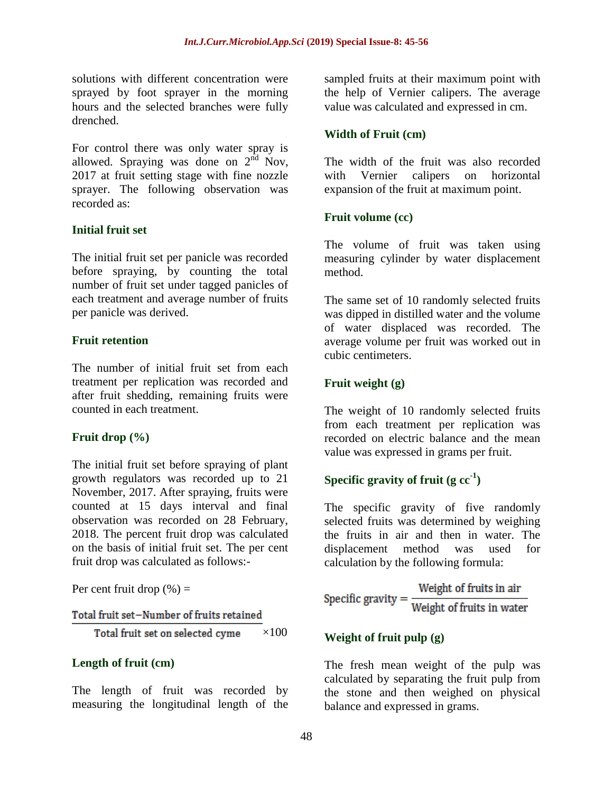solutions with different concentration were sprayed by foot sprayer in the morning hours and the selected branches were fully drenched.

For control there was only water spray is allowed. Spraying was done on  $2<sup>nd</sup>$  Nov, 2017 at fruit setting stage with fine nozzle sprayer. The following observation was recorded as:

# **Initial fruit set**

The initial fruit set per panicle was recorded before spraying, by counting the total number of fruit set under tagged panicles of each treatment and average number of fruits per panicle was derived.

### **Fruit retention**

The number of initial fruit set from each treatment per replication was recorded and after fruit shedding, remaining fruits were counted in each treatment.

# **Fruit drop (%)**

The initial fruit set before spraying of plant growth regulators was recorded up to 21 November, 2017. After spraying, fruits were counted at 15 days interval and final observation was recorded on 28 February, 2018. The percent fruit drop was calculated on the basis of initial fruit set. The per cent fruit drop was calculated as follows:-

Per cent fruit drop  $(\% )$  =

Total fruit set-Number of fruits retained

Total fruit set on selected cyme  $\times$ 100

#### **Length of fruit (cm)**

The length of fruit was recorded by measuring the longitudinal length of the

sampled fruits at their maximum point with the help of Vernier calipers. The average value was calculated and expressed in cm.

### **Width of Fruit (cm)**

The width of the fruit was also recorded with Vernier calipers on horizontal expansion of the fruit at maximum point.

### **Fruit volume (cc)**

The volume of fruit was taken using measuring cylinder by water displacement method.

The same set of 10 randomly selected fruits was dipped in distilled water and the volume of water displaced was recorded. The average volume per fruit was worked out in cubic centimeters.

# **Fruit weight (g)**

The weight of 10 randomly selected fruits from each treatment per replication was recorded on electric balance and the mean value was expressed in grams per fruit.

# **Specific gravity of fruit (g cc-1 )**

The specific gravity of five randomly selected fruits was determined by weighing the fruits in air and then in water. The displacement method was used for calculation by the following formula:

Specific gravity =  $\frac{\text{Weight of fruits in air}}{\text{Weight of fruits in water}}$ 

# **Weight of fruit pulp (g)**

The fresh mean weight of the pulp was calculated by separating the fruit pulp from the stone and then weighed on physical balance and expressed in grams.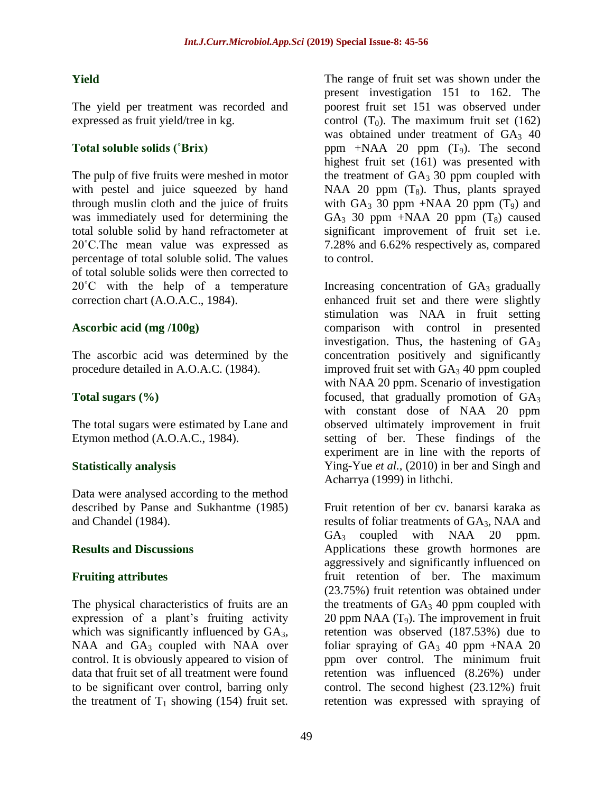# **Yield**

The yield per treatment was recorded and expressed as fruit yield/tree in kg.

# **Total soluble solids (˚Brix)**

The pulp of five fruits were meshed in motor with pestel and juice squeezed by hand through muslin cloth and the juice of fruits was immediately used for determining the total soluble solid by hand refractometer at 20˚C.The mean value was expressed as percentage of total soluble solid. The values of total soluble solids were then corrected to 20°C with the help of a temperature correction chart (A.O.A.C., 1984).

# **Ascorbic acid (mg /100g)**

The ascorbic acid was determined by the procedure detailed in A.O.A.C. (1984).

# **Total sugars (%)**

The total sugars were estimated by Lane and Etymon method (A.O.A.C., 1984).

# **Statistically analysis**

Data were analysed according to the method described by Panse and Sukhantme (1985) and Chandel (1984).

# **Results and Discussions**

# **Fruiting attributes**

The physical characteristics of fruits are an expression of a plant's fruiting activity which was significantly influenced by  $GA_3$ , NAA and  $GA_3$  coupled with NAA over control. It is obviously appeared to vision of data that fruit set of all treatment were found to be significant over control, barring only the treatment of  $T_1$  showing (154) fruit set.

The range of fruit set was shown under the present investigation 151 to 162. The poorest fruit set 151 was observed under control  $(T_0)$ . The maximum fruit set (162) was obtained under treatment of  $GA_3$  40 ppm  $+NAA$  20 ppm  $(T_9)$ . The second highest fruit set (161) was presented with the treatment of  $GA_3$  30 ppm coupled with NAA 20 ppm  $(T_8)$ . Thus, plants sprayed with  $GA_3$  30 ppm +NAA 20 ppm  $(T_9)$  and GA<sub>3</sub> 30 ppm +NAA 20 ppm  $(T_8)$  caused significant improvement of fruit set i.e. 7.28% and 6.62% respectively as, compared to control.

Increasing concentration of  $GA<sub>3</sub>$  gradually enhanced fruit set and there were slightly stimulation was NAA in fruit setting comparison with control in presented investigation. Thus, the hastening of  $GA<sub>3</sub>$ concentration positively and significantly improved fruit set with  $GA<sub>3</sub> 40$  ppm coupled with NAA 20 ppm. Scenario of investigation focused, that gradually promotion of  $GA<sub>3</sub>$ with constant dose of NAA 20 ppm observed ultimately improvement in fruit setting of ber. These findings of the experiment are in line with the reports of Ying-Yue *et al.,* (2010) in ber and Singh and Acharrya (1999) in lithchi.

Fruit retention of ber cv. banarsi karaka as results of foliar treatments of GA<sub>3</sub>, NAA and  $GA_3$  coupled with NAA 20 ppm. Applications these growth hormones are aggressively and significantly influenced on fruit retention of ber. The maximum (23.75%) fruit retention was obtained under the treatments of  $GA_3$  40 ppm coupled with 20 ppm NAA  $(T_9)$ . The improvement in fruit retention was observed (187.53%) due to foliar spraying of  $GA_3$  40 ppm +NAA 20 ppm over control. The minimum fruit retention was influenced (8.26%) under control. The second highest (23.12%) fruit retention was expressed with spraying of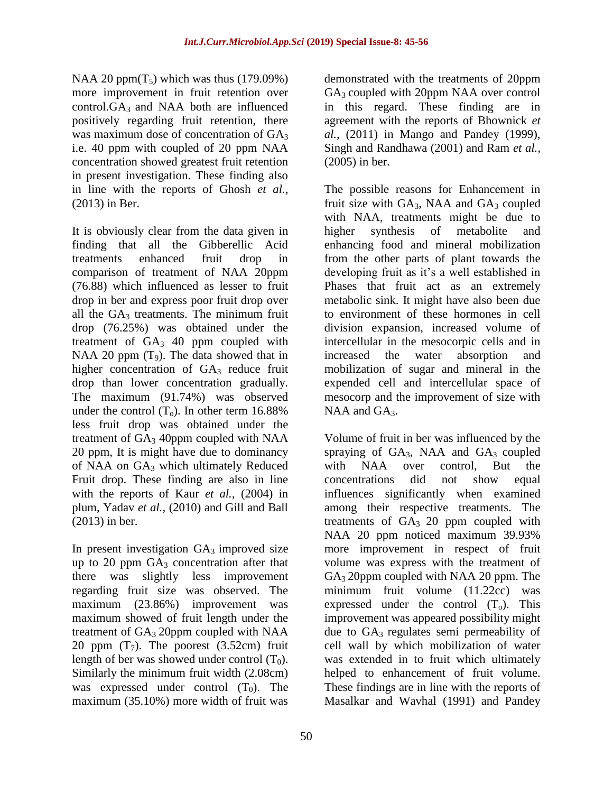NAA 20 ppm( $T_5$ ) which was thus (179.09%) more improvement in fruit retention over  $control.GA<sub>3</sub>$  and NAA both are influenced positively regarding fruit retention, there was maximum dose of concentration of GA<sub>3</sub> i.e. 40 ppm with coupled of 20 ppm NAA concentration showed greatest fruit retention in present investigation. These finding also in line with the reports of Ghosh *et al.,* (2013) in Ber.

It is obviously clear from the data given in finding that all the Gibberellic Acid treatments enhanced fruit drop in comparison of treatment of NAA 20ppm (76.88) which influenced as lesser to fruit drop in ber and express poor fruit drop over all the  $GA_3$  treatments. The minimum fruit drop (76.25%) was obtained under the treatment of  $GA_3$  40 ppm coupled with NAA 20 ppm  $(T_9)$ . The data showed that in higher concentration of  $GA_3$  reduce fruit drop than lower concentration gradually. The maximum (91.74%) was observed under the control  $(T_0)$ . In other term 16.88% less fruit drop was obtained under the treatment of  $GA_3$  40ppm coupled with NAA 20 ppm, It is might have due to dominancy of NAA on GA<sub>3</sub> which ultimately Reduced Fruit drop. These finding are also in line with the reports of Kaur *et al.*, (2004) in plum, Yadav *et al.,* (2010) and Gill and Ball (2013) in ber.

In present investigation  $GA_3$  improved size up to 20 ppm  $GA_3$  concentration after that there was slightly less improvement regarding fruit size was observed. The maximum (23.86%) improvement was maximum showed of fruit length under the treatment of  $GA_3$  20ppm coupled with NAA 20 ppm  $(T_7)$ . The poorest  $(3.52cm)$  fruit length of ber was showed under control  $(T_0)$ . Similarly the minimum fruit width (2.08cm) was expressed under control  $(T_0)$ . The maximum (35.10%) more width of fruit was

demonstrated with the treatments of 20ppm GA<sub>3</sub> coupled with 20ppm NAA over control in this regard. These finding are in agreement with the reports of Bhownick *et al.,* (2011) in Mango and Pandey (1999), Singh and Randhawa (2001) and Ram *et al.,*  (2005) in ber.

The possible reasons for Enhancement in fruit size with  $GA_3$ , NAA and  $GA_3$  coupled with NAA, treatments might be due to higher synthesis of metabolite and enhancing food and mineral mobilization from the other parts of plant towards the developing fruit as it's a well established in Phases that fruit act as an extremely metabolic sink. It might have also been due to environment of these hormones in cell division expansion, increased volume of intercellular in the mesocorpic cells and in increased the water absorption and mobilization of sugar and mineral in the expended cell and intercellular space of mesocorp and the improvement of size with  $NAA$  and  $GA<sub>3</sub>$ .

Volume of fruit in ber was influenced by the spraying of  $GA_3$ , NAA and  $GA_3$  coupled with NAA over control, But the concentrations did not show equal influences significantly when examined among their respective treatments. The treatments of  $GA_3$  20 ppm coupled with NAA 20 ppm noticed maximum 39.93% more improvement in respect of fruit volume was express with the treatment of GA<sub>3</sub> 20ppm coupled with NAA 20 ppm. The minimum fruit volume (11.22cc) was expressed under the control  $(T_0)$ . This improvement was appeared possibility might due to  $GA_3$  regulates semi permeability of cell wall by which mobilization of water was extended in to fruit which ultimately helped to enhancement of fruit volume. These findings are in line with the reports of Masalkar and Wavhal (1991) and Pandey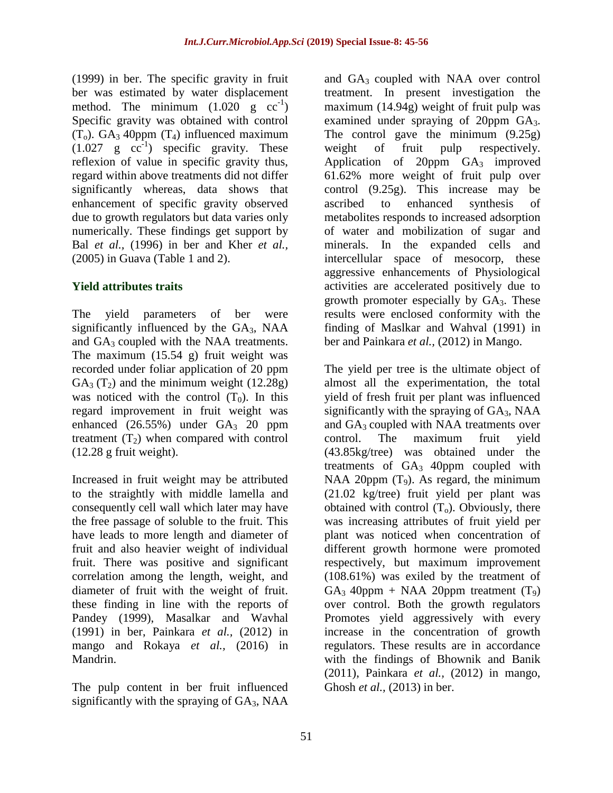(1999) in ber. The specific gravity in fruit ber was estimated by water displacement method. The minimum  $(1.020 \text{ g } cc^{-1})$ Specific gravity was obtained with control  $(T_0)$ . GA<sub>3</sub> 40ppm  $(T_4)$  influenced maximum  $(1.027 \text{ g } cc^{-1})$  specific gravity. These reflexion of value in specific gravity thus, regard within above treatments did not differ significantly whereas, data shows that enhancement of specific gravity observed due to growth regulators but data varies only numerically. These findings get support by Bal *et al.,* (1996) in ber and Kher *et al.,*  (2005) in Guava (Table 1 and 2).

# **Yield attributes traits**

The yield parameters of ber were significantly influenced by the  $GA<sub>3</sub>$ , NAA and  $GA_3$  coupled with the NAA treatments. The maximum (15.54 g) fruit weight was recorded under foliar application of 20 ppm  $GA_3(T_2)$  and the minimum weight (12.28g) was noticed with the control  $(T_0)$ . In this regard improvement in fruit weight was enhanced  $(26.55\%)$  under  $GA<sub>3</sub>$  20 ppm treatment  $(T_2)$  when compared with control (12.28 g fruit weight).

Increased in fruit weight may be attributed to the straightly with middle lamella and consequently cell wall which later may have the free passage of soluble to the fruit. This have leads to more length and diameter of fruit and also heavier weight of individual fruit. There was positive and significant correlation among the length, weight, and diameter of fruit with the weight of fruit. these finding in line with the reports of Pandey (1999), Masalkar and Wavhal (1991) in ber, Painkara *et al.,* (2012) in mango and Rokaya *et al.,* (2016) in Mandrin.

The pulp content in ber fruit influenced significantly with the spraying of  $GA<sub>3</sub>$ , NAA

and GA3 coupled with NAA over control treatment. In present investigation the maximum (14.94g) weight of fruit pulp was examined under spraying of 20ppm GA3. The control gave the minimum (9.25g) weight of fruit pulp respectively. Application of 20ppm  $GA_3$  improved 61.62% more weight of fruit pulp over control (9.25g). This increase may be ascribed to enhanced synthesis of metabolites responds to increased adsorption of water and mobilization of sugar and minerals. In the expanded cells and intercellular space of mesocorp, these aggressive enhancements of Physiological activities are accelerated positively due to growth promoter especially by  $GA_3$ . These results were enclosed conformity with the finding of Maslkar and Wahval (1991) in ber and Painkara *et al.,* (2012) in Mango.

The yield per tree is the ultimate object of almost all the experimentation, the total yield of fresh fruit per plant was influenced significantly with the spraying of  $GA<sub>3</sub>$ , NAA and GA<sub>3</sub> coupled with NAA treatments over control. The maximum fruit yield (43.85kg/tree) was obtained under the treatments of  $GA_3$  40ppm coupled with NAA 20ppm  $(T_9)$ . As regard, the minimum (21.02 kg/tree) fruit yield per plant was obtained with control  $(T_0)$ . Obviously, there was increasing attributes of fruit yield per plant was noticed when concentration of different growth hormone were promoted respectively, but maximum improvement (108.61%) was exiled by the treatment of  $GA_3$  40ppm + NAA 20ppm treatment  $(T_9)$ over control. Both the growth regulators Promotes yield aggressively with every increase in the concentration of growth regulators. These results are in accordance with the findings of Bhownik and Banik (2011), Painkara *et al.,* (2012) in mango, Ghosh *et al.,* (2013) in ber.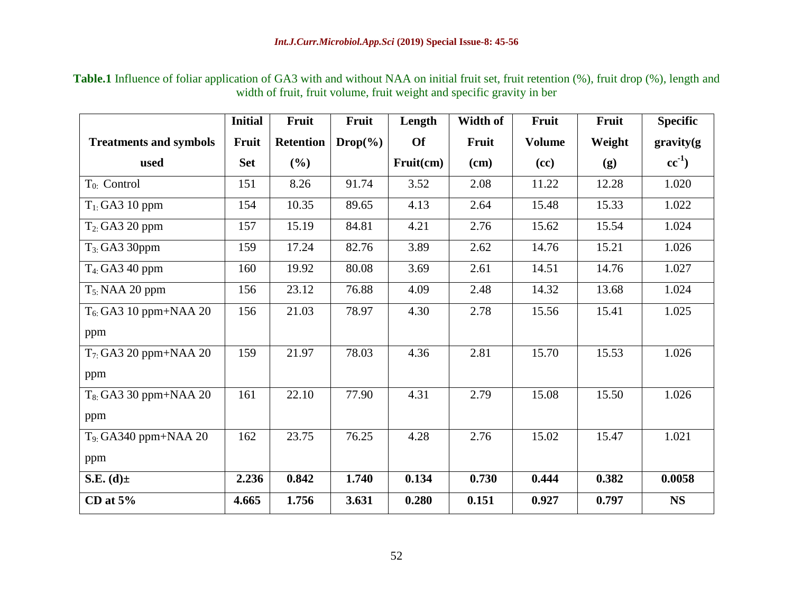**Table.1** Influence of foliar application of GA3 with and without NAA on initial fruit set, fruit retention (%), fruit drop (%), length and width of fruit, fruit volume, fruit weight and specific gravity in ber

|                               | <b>Initial</b> | Fruit            | Fruit       | Length    | Width of | Fruit         | Fruit  | <b>Specific</b> |
|-------------------------------|----------------|------------------|-------------|-----------|----------|---------------|--------|-----------------|
| <b>Treatments and symbols</b> | Fruit          | <b>Retention</b> | $Drop(\% )$ | <b>Of</b> | Fruit    | <b>Volume</b> | Weight | gravity(g       |
| used                          | <b>Set</b>     | (%)              |             | Fruit(cm) | $(cm)$   | (cc)          | (g)    | $cc^{-1}$ )     |
| $T_{0}$ : Control             | 151            | 8.26             | 91.74       | 3.52      | 2.08     | 11.22         | 12.28  | 1.020           |
| $T_1$ : GA3 10 ppm            | 154            | 10.35            | 89.65       | 4.13      | 2.64     | 15.48         | 15.33  | 1.022           |
| $T_2$ : GA3 20 ppm            | 157            | 15.19            | 84.81       | 4.21      | 2.76     | 15.62         | 15.54  | 1.024           |
| $T_{3}$ : GA3 30ppm           | 159            | 17.24            | 82.76       | 3.89      | 2.62     | 14.76         | 15.21  | 1.026           |
| $T_4$ : GA3 40 ppm            | 160            | 19.92            | 80.08       | 3.69      | 2.61     | 14.51         | 14.76  | 1.027           |
| $T_{5}$ : NAA 20 ppm          | 156            | 23.12            | 76.88       | 4.09      | 2.48     | 14.32         | 13.68  | 1.024           |
| $T_6$ : GA3 10 ppm+NAA 20     | 156            | 21.03            | 78.97       | 4.30      | 2.78     | 15.56         | 15.41  | 1.025           |
| ppm                           |                |                  |             |           |          |               |        |                 |
| $T7: GA3 20 ppm+NAA 20$       | 159            | 21.97            | 78.03       | 4.36      | 2.81     | 15.70         | 15.53  | 1.026           |
| ppm                           |                |                  |             |           |          |               |        |                 |
| $T_8$ : GA3 30 ppm+NAA 20     | 161            | 22.10            | 77.90       | 4.31      | 2.79     | 15.08         | 15.50  | 1.026           |
| ppm                           |                |                  |             |           |          |               |        |                 |
| $T_9$ : GA340 ppm+NAA 20      | 162            | 23.75            | 76.25       | 4.28      | 2.76     | 15.02         | 15.47  | 1.021           |
| ppm                           |                |                  |             |           |          |               |        |                 |
| S.E. $(d)$ ±                  | 2.236          | 0.842            | 1.740       | 0.134     | 0.730    | 0.444         | 0.382  | 0.0058          |
| CD at $5%$                    | 4.665          | 1.756            | 3.631       | 0.280     | 0.151    | 0.927         | 0.797  | <b>NS</b>       |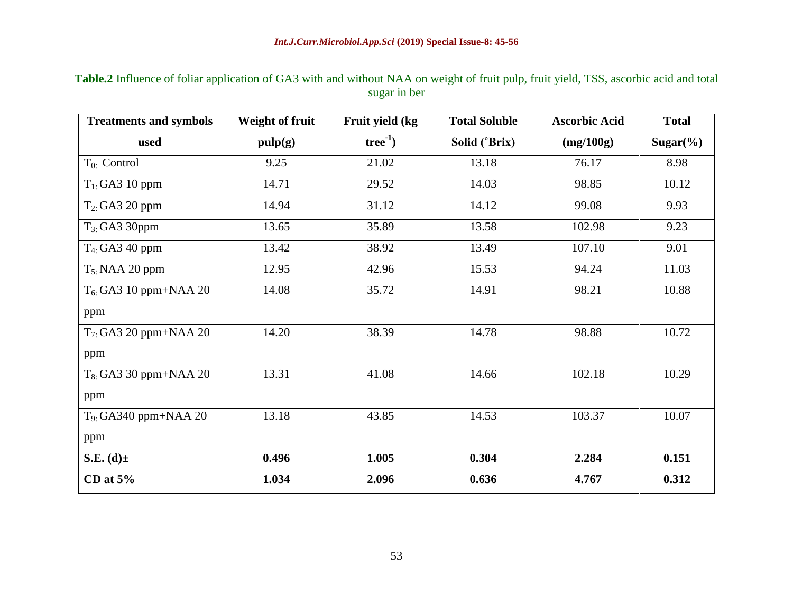| <b>Treatments and symbols</b> | <b>Weight of fruit</b> | Fruit yield (kg | <b>Total Soluble</b> | <b>Ascorbic Acid</b> | <b>Total</b> |
|-------------------------------|------------------------|-----------------|----------------------|----------------------|--------------|
| used                          | pulp(g)                | $tree^{-1}$ )   | Solid (°Brix)        | (mg/100g)            | $Sugar(\% )$ |
| $T_{0}$ : Control             | 9.25                   | 21.02           | 13.18                | 76.17                | 8.98         |
| $T_{1}$ : GA3 10 ppm          | 14.71                  | 29.52           | 14.03                | 98.85                | 10.12        |
| $T_2$ : GA3 20 ppm            | 14.94                  | 31.12           | 14.12                | 99.08                | 9.93         |
| $T_{3}$ : GA3 30ppm           | 13.65                  | 35.89           | 13.58                | 102.98               | 9.23         |
| $T_4$ : GA3 40 ppm            | 13.42                  | 38.92           | 13.49                | 107.10               | 9.01         |
| $T_{5}$ : NAA 20 ppm          | 12.95                  | 42.96           | 15.53                | 94.24                | 11.03        |
| $T_6$ : GA3 10 ppm+NAA 20     | 14.08                  | 35.72           | 14.91                | 98.21                | 10.88        |
| ppm                           |                        |                 |                      |                      |              |
| $T_7$ : GA3 20 ppm+NAA 20     | 14.20                  | 38.39           | 14.78                | 98.88                | 10.72        |
| ppm                           |                        |                 |                      |                      |              |
| $T_8$ : GA3 30 ppm+NAA 20     | 13.31                  | 41.08           | 14.66                | 102.18               | 10.29        |
| ppm                           |                        |                 |                      |                      |              |
| $T_9$ : GA340 ppm+NAA 20      | 13.18                  | 43.85           | 14.53                | 103.37               | 10.07        |
| ppm                           |                        |                 |                      |                      |              |
| S.E. $(d)$ ±                  | 0.496                  | 1.005           | 0.304                | 2.284                | 0.151        |
| CD at $5%$                    | 1.034                  | 2.096           | 0.636                | 4.767                | 0.312        |

# **Table.2** Influence of foliar application of GA3 with and without NAA on weight of fruit pulp, fruit yield, TSS, ascorbic acid and total sugar in ber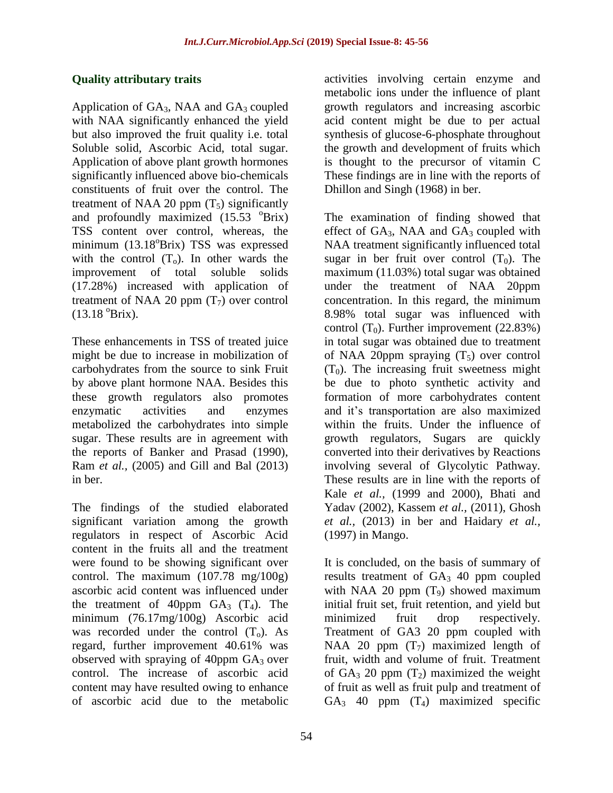# **Quality attributary traits**

Application of  $GA_3$ , NAA and  $GA_3$  coupled with NAA significantly enhanced the yield but also improved the fruit quality i.e. total Soluble solid, Ascorbic Acid, total sugar. Application of above plant growth hormones significantly influenced above bio-chemicals constituents of fruit over the control. The treatment of NAA 20 ppm  $(T_5)$  significantly and profoundly maximized  $(15.53 \text{ °Brix})$ TSS content over control, whereas, the minimum (13.18<sup>o</sup>Brix) TSS was expressed with the control  $(T_0)$ . In other wards the improvement of total soluble solids (17.28%) increased with application of treatment of NAA 20 ppm  $(T_7)$  over control  $(13.18 \text{ °Brix}).$ 

These enhancements in TSS of treated juice might be due to increase in mobilization of carbohydrates from the source to sink Fruit by above plant hormone NAA. Besides this these growth regulators also promotes enzymatic activities and enzymes metabolized the carbohydrates into simple sugar. These results are in agreement with the reports of Banker and Prasad (1990), Ram *et al.,* (2005) and Gill and Bal (2013) in ber.

The findings of the studied elaborated significant variation among the growth regulators in respect of Ascorbic Acid content in the fruits all and the treatment were found to be showing significant over control. The maximum (107.78 mg/100g) ascorbic acid content was influenced under the treatment of 40ppm  $GA_3$  (T<sub>4</sub>). The minimum (76.17mg/100g) Ascorbic acid was recorded under the control  $(T_0)$ . As regard, further improvement 40.61% was observed with spraying of 40ppm  $GA<sub>3</sub>$  over control. The increase of ascorbic acid content may have resulted owing to enhance of ascorbic acid due to the metabolic

activities involving certain enzyme and metabolic ions under the influence of plant growth regulators and increasing ascorbic acid content might be due to per actual synthesis of glucose-6-phosphate throughout the growth and development of fruits which is thought to the precursor of vitamin C These findings are in line with the reports of Dhillon and Singh (1968) in ber.

The examination of finding showed that effect of  $GA_3$ , NAA and  $GA_3$  coupled with NAA treatment significantly influenced total sugar in ber fruit over control  $(T_0)$ . The maximum (11.03%) total sugar was obtained under the treatment of NAA 20ppm concentration. In this regard, the minimum 8.98% total sugar was influenced with control  $(T_0)$ . Further improvement  $(22.83%)$ in total sugar was obtained due to treatment of NAA 20ppm spraying  $(T_5)$  over control  $(T_0)$ . The increasing fruit sweetness might be due to photo synthetic activity and formation of more carbohydrates content and it"s transportation are also maximized within the fruits. Under the influence of growth regulators, Sugars are quickly converted into their derivatives by Reactions involving several of Glycolytic Pathway. These results are in line with the reports of Kale *et al.,* (1999 and 2000), Bhati and Yadav (2002), Kassem *et al.,* (2011), Ghosh *et al.,* (2013) in ber and Haidary *et al.,*  (1997) in Mango.

It is concluded, on the basis of summary of results treatment of  $GA_3$  40 ppm coupled with NAA 20 ppm  $(T_9)$  showed maximum initial fruit set, fruit retention, and yield but minimized fruit drop respectively. Treatment of GA3 20 ppm coupled with NAA 20 ppm  $(T_7)$  maximized length of fruit, width and volume of fruit. Treatment of  $GA_3$  20 ppm  $(T_2)$  maximized the weight of fruit as well as fruit pulp and treatment of  $GA<sub>3</sub>$  40 ppm  $(T<sub>4</sub>)$  maximized specific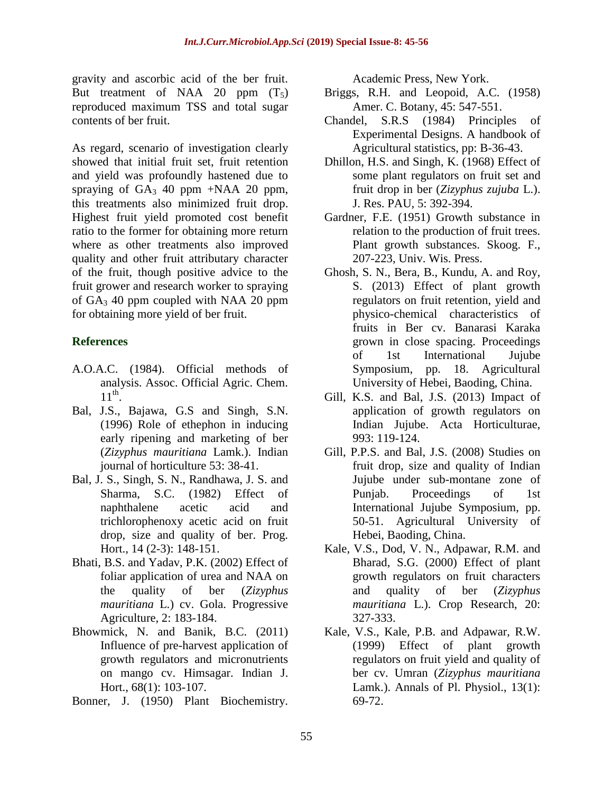gravity and ascorbic acid of the ber fruit. But treatment of NAA 20 ppm  $(T_5)$ reproduced maximum TSS and total sugar contents of ber fruit.

As regard, scenario of investigation clearly showed that initial fruit set, fruit retention and yield was profoundly hastened due to spraying of  $GA_3$  40 ppm +NAA 20 ppm, this treatments also minimized fruit drop. Highest fruit yield promoted cost benefit ratio to the former for obtaining more return where as other treatments also improved quality and other fruit attributary character of the fruit, though positive advice to the fruit grower and research worker to spraying of  $GA_3$  40 ppm coupled with NAA 20 ppm for obtaining more yield of ber fruit.

# **References**

- A.O.A.C. (1984). Official methods of analysis. Assoc. Official Agric. Chem.  $11<sup>th</sup>$ .
- Bal, J.S., Bajawa, G.S and Singh, S.N. (1996) Role of ethephon in inducing early ripening and marketing of ber (*Zizyphus mauritiana* Lamk.). Indian journal of horticulture 53: 38-41.
- Bal, J. S., Singh, S. N., Randhawa, J. S. and Sharma, S.C. (1982) Effect of naphthalene acetic acid and trichlorophenoxy acetic acid on fruit drop, size and quality of ber. Prog. Hort., 14 (2-3): 148-151.
- Bhati, B.S. and Yadav, P.K. (2002) Effect of foliar application of urea and NAA on the quality of ber (*Zizyphus mauritiana* L.) cv. Gola. Progressive Agriculture, 2: 183-184.
- Bhowmick, N. and Banik, B.C. (2011) Influence of pre-harvest application of growth regulators and micronutrients on mango cv. Himsagar. Indian J. Hort., 68(1): 103-107.
- Bonner, J. (1950) Plant Biochemistry.

Academic Press, New York.

- Briggs, R.H. and Leopoid, A.C. (1958) Amer. C. Botany, 45: 547-551.
- Chandel, S.R.S (1984) Principles of Experimental Designs. A handbook of Agricultural statistics, pp: B-36-43.
- Dhillon, H.S. and Singh, K. (1968) Effect of some plant regulators on fruit set and fruit drop in ber (*Zizyphus zujuba* L.). J. Res. PAU, 5: 392-394.
- Gardner, F.E. (1951) Growth substance in relation to the production of fruit trees. Plant growth substances. Skoog. F., 207-223, Univ. Wis. Press.
- Ghosh, S. N., Bera, B., Kundu, A. and Roy, S. (2013) Effect of plant growth regulators on fruit retention, yield and physico-chemical characteristics of fruits in Ber cv. Banarasi Karaka grown in close spacing. Proceedings of 1st International Jujube Symposium, pp. 18. Agricultural University of Hebei, Baoding, China.
- Gill, K.S. and Bal, J.S. (2013) Impact of application of growth regulators on Indian Jujube. Acta Horticulturae, 993: 119-124.
- Gill, P.P.S. and Bal, J.S. (2008) Studies on fruit drop, size and quality of Indian Jujube under sub-montane zone of Punjab. Proceedings of 1st International Jujube Symposium, pp. 50-51. Agricultural University of Hebei, Baoding, China.
- Kale, V.S., Dod, V. N., Adpawar, R.M. and Bharad, S.G. (2000) Effect of plant growth regulators on fruit characters and quality of ber (*Zizyphus mauritiana* L.). Crop Research, 20: 327-333.
- Kale, V.S., Kale, P.B. and Adpawar, R.W. (1999) Effect of plant growth regulators on fruit yield and quality of ber cv. Umran (*Zizyphus mauritiana*  Lamk.). Annals of Pl. Physiol., 13(1): 69-72.